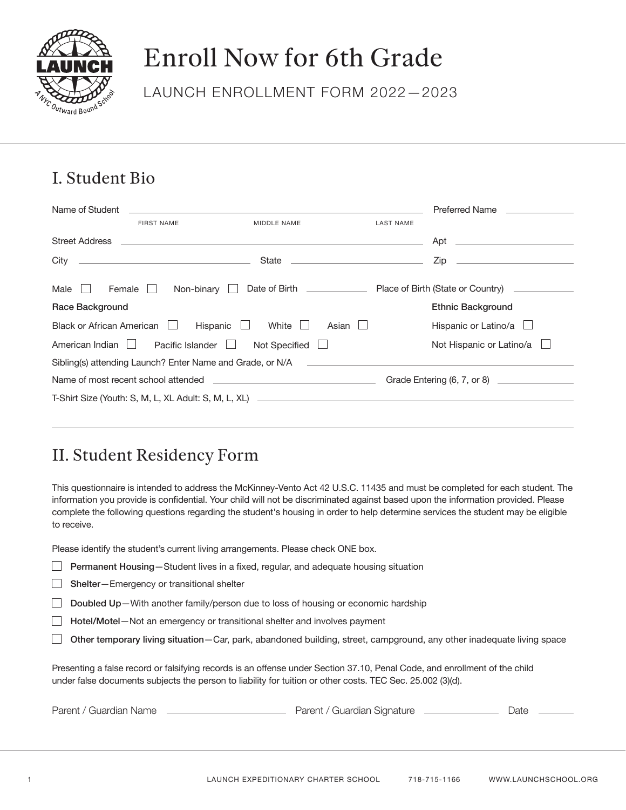

# Enroll Now for 6th Grade

LAUNCH ENROLLMENT FORM 2022—2023

#### I. Student Bio

| Name of Student           |                         |                                                           |                  | Preferred Name              |
|---------------------------|-------------------------|-----------------------------------------------------------|------------------|-----------------------------|
|                           | <b>FIRST NAME</b>       | MIDDLE NAME                                               | <b>LAST NAME</b> |                             |
| <b>Street Address</b>     |                         |                                                           |                  |                             |
|                           |                         |                                                           |                  |                             |
| Male $\Box$<br>Female     | Non-binary $  $         |                                                           |                  |                             |
| Race Background           |                         |                                                           |                  | <b>Ethnic Background</b>    |
| Black or African American |                         | Hispanic<br>White $\Box$<br>$\Box$                        | Asian $\Box$     | Hispanic or Latino/a $\Box$ |
| American Indian           | Pacific Islander $\Box$ | Not Specified                                             |                  | Not Hispanic or Latino/a    |
|                           |                         | Sibling(s) attending Launch? Enter Name and Grade, or N/A |                  |                             |
|                           |                         |                                                           |                  |                             |
|                           |                         |                                                           |                  |                             |
|                           |                         |                                                           |                  |                             |

#### II. Student Residency Form

This questionnaire is intended to address the McKinney-Vento Act 42 U.S.C. 11435 and must be completed for each student. The information you provide is confidential. Your child will not be discriminated against based upon the information provided. Please complete the following questions regarding the student's housing in order to help determine services the student may be eligible to receive.

Please identify the student's current living arrangements. Please check ONE box.

|  | □ Permanent Housing-Student lives in a fixed, regular, and adequate housing situation |  |  |  |  |
|--|---------------------------------------------------------------------------------------|--|--|--|--|
|--|---------------------------------------------------------------------------------------|--|--|--|--|

□ Shelter–Emergency or transitional shelter

□ Doubled Up-With another family/person due to loss of housing or economic hardship

 $\Box$ Hotel/Motel—Not an emergency or transitional shelter and involves payment

 $\Box$  Other temporary living situation—Car, park, abandoned building, street, campground, any other inadequate living space

Presenting a false record or falsifying records is an offense under Section 37.10, Penal Code, and enrollment of the child under false documents subjects the person to liability for tuition or other costs. TEC Sec. 25.002 (3)(d).

Parent / Guardian Name **Commission Commission Commission** Parent / Guardian Signature **Commission Commission** Date 2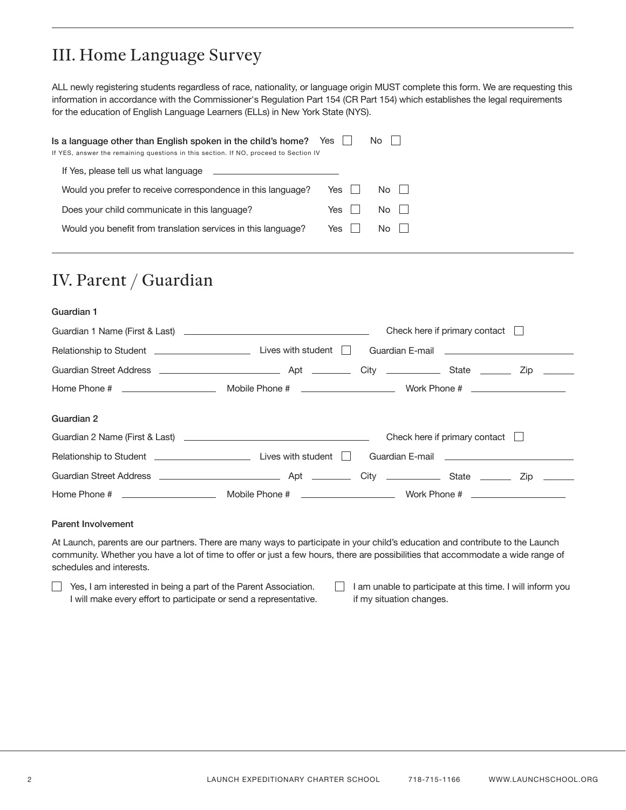## III. Home Language Survey

ALL newly registering students regardless of race, nationality, or language origin MUST complete this form. We are requesting this information in accordance with the Commissioner's Regulation Part 154 (CR Part 154) which establishes the legal requirements for the education of English Language Learners (ELLs) in New York State (NYS).

| Is a language other than English spoken in the child's home? Yes<br>If YES, answer the remaining questions in this section. If NO, proceed to Section IV |     | No.       |
|----------------------------------------------------------------------------------------------------------------------------------------------------------|-----|-----------|
| If Yes, please tell us what language                                                                                                                     |     |           |
| Would you prefer to receive correspondence in this language?                                                                                             | Yes | $No$ $  $ |
| Does your child communicate in this language?                                                                                                            | Yes | $No$ $  $ |
| Would you benefit from translation services in this language?                                                                                            | Yes | $No$ $  $ |
|                                                                                                                                                          |     |           |

### IV. Parent / Guardian

#### Guardian 1

|                                                                                 |                                                                                                                                                                                                                                      | Check here if primary contact $\Box$ |            |
|---------------------------------------------------------------------------------|--------------------------------------------------------------------------------------------------------------------------------------------------------------------------------------------------------------------------------------|--------------------------------------|------------|
| Relationship to Student <b>Constant Constanting Constant</b> Lives with student | Guardian E-mail <b>Contract Contract Contract Contract Contract Contract Contract Contract Contract Contract Contract Contract Contract Contract Contract Contract Contract Contract Contract Contract Contract Contract Contrac</b> |                                      |            |
|                                                                                 |                                                                                                                                                                                                                                      |                                      | Zip ______ |
|                                                                                 |                                                                                                                                                                                                                                      |                                      |            |
| Guardian 2                                                                      |                                                                                                                                                                                                                                      |                                      |            |
|                                                                                 |                                                                                                                                                                                                                                      | Check here if primary contact        |            |
|                                                                                 | Guardian E-mail <b>Contract Contract Contract Contract Contract Contract Contract Contract Contract Contract Contract Contract Contract Contract Contract Contract Contract Contract Contract Contract Contract Contract Contrac</b> |                                      |            |
|                                                                                 |                                                                                                                                                                                                                                      |                                      | Zip ______ |
|                                                                                 |                                                                                                                                                                                                                                      |                                      |            |
|                                                                                 |                                                                                                                                                                                                                                      |                                      |            |

#### Parent Involvement

At Launch, parents are our partners. There are many ways to participate in your child's education and contribute to the Launch community. Whether you have a lot of time to offer or just a few hours, there are possibilities that accommodate a wide range of schedules and interests.

Yes, I am interested in being a part of the Parent Association. I will make every effort to participate or send a representative.

 $\Box$  I am unable to participate at this time. I will inform you if my situation changes.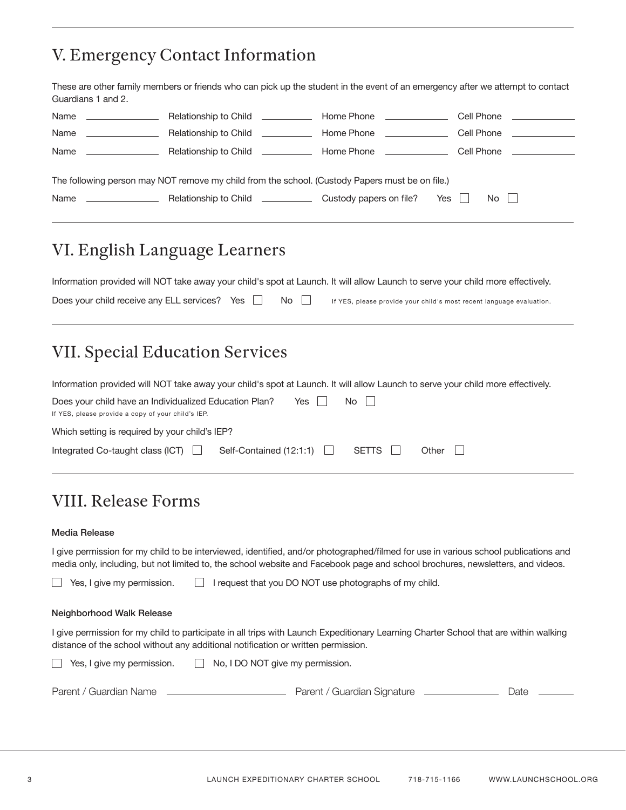### V. Emergency Contact Information

These are other family members or friends who can pick up the student in the event of an emergency after we attempt to contact Guardians 1 and 2.

| Name<br><u> The Communication of the Communication</u> | Relationship to Child <u>_________</u>                                                          | Home Phone <b>Example 20</b>       | Cell Phone <u>Cell</u> Phone |
|--------------------------------------------------------|-------------------------------------------------------------------------------------------------|------------------------------------|------------------------------|
| Name                                                   | Relationship to Child <b>Fig.</b>                                                               | Home Phone <u>________________</u> | Cell Phone                   |
| Name                                                   | Relationship to Child <u>_____________</u>                                                      | Home Phone <u>________________</u> | Cell Phone                   |
|                                                        |                                                                                                 |                                    |                              |
|                                                        | The following person may NOT remove my child from the school. (Custody Papers must be on file.) |                                    |                              |
| Name                                                   | Relationship to Child <b>Election</b>                                                           | Yes I<br>Custody papers on file?   | $No$ $  $                    |
|                                                        |                                                                                                 |                                    |                              |

### VI. English Language Learners

|                                                                |  | Information provided will NOT take away your child's spot at Launch. It will allow Launch to serve your child more effectively. |
|----------------------------------------------------------------|--|---------------------------------------------------------------------------------------------------------------------------------|
| Does your child receive any ELL services? Yes $\Box$ No $\Box$ |  | If YES, please provide your child's most recent language evaluation.                                                            |

### VII. Special Education Services

| Information provided will NOT take away your child's spot at Launch. It will allow Launch to serve your child more effectively. |                           |       |       |                |  |  |
|---------------------------------------------------------------------------------------------------------------------------------|---------------------------|-------|-------|----------------|--|--|
| Does your child have an Individualized Education Plan?<br>If YES, please provide a copy of your child's IEP.                    |                           | Yes I | No II |                |  |  |
| Which setting is required by your child's IEP?                                                                                  |                           |       |       |                |  |  |
| Integrated Co-taught class $(ICT)$                                                                                              | Self-Contained $(12:1:1)$ |       | SETTS | Other $  \;  $ |  |  |

### VIII. Release Forms

#### Media Release

I give permission for my child to be interviewed, identified, and/or photographed/filmed for use in various school publications and media only, including, but not limited to, the school website and Facebook page and school brochures, newsletters, and videos.

Yes, I give my permission.  $\Box$  $\Box$  I request that you DO NOT use photographs of my child.

#### Neighborhood Walk Release

I give permission for my child to participate in all trips with Launch Expeditionary Learning Charter School that are within walking distance of the school without any additional notification or written permission.

| $\Box$ Yes, I give my permission. | No, I DO NOT give my permission. |      |
|-----------------------------------|----------------------------------|------|
| Parent / Guardian Name            | Parent / Guardian Signature      | Date |